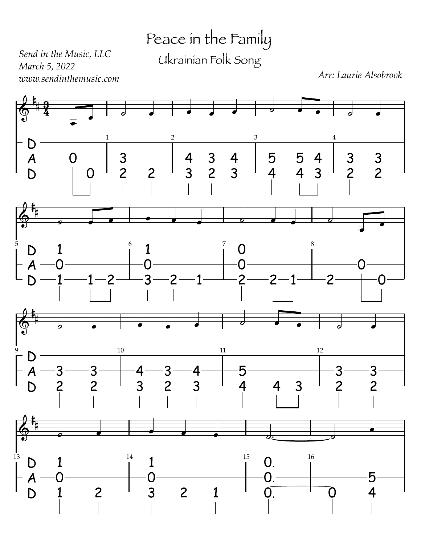## Peace in the Family Ukrainian Folk Song

*Send in the Music, LLC March 5, 2022 www.sendinthemusic.com*

*Arr: Laurie Alsobrook*